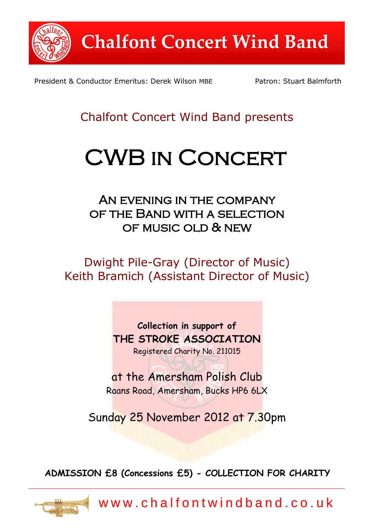

President & Conductor Emeritus: Derek Wilson MBE Patron: Stuart Balmforth

## Chalfont Concert Wind Band presents

# CWB in Concert

AN EVENING IN THE COMPANY of the Band with a selection of music old & new

Dwight Pile-Gray (Director of Music) Keith Bramich (Assistant Director of Music)

> **Collection in support of THE STROKE ASSOCIATION** Registered Charity No. 211015

at the Amersham Polish Club Raans Road, Amersham, Bucks HP6 6LX

Sunday 25 November 2012 at 7.30pm

**ADMISSION £8 (Concessions £5) - COLLECTION FOR CHARITY**



w w w . c h a l f o n t w i n d b a n d . c o . u k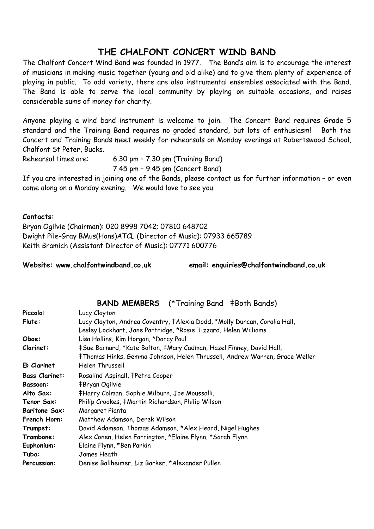### **THE CHALFONT CONCERT WIND BAND**

The Chalfont Concert Wind Band was founded in 1977. The Band's aim is to encourage the interest of musicians in making music together (young and old alike) and to give them plenty of experience of playing in public. To add variety, there are also instrumental ensembles associated with the Band. The Band is able to serve the local community by playing on suitable occasions, and raises considerable sums of money for charity.

Anyone playing a wind band instrument is welcome to join. The Concert Band requires Grade 5 standard and the Training Band requires no graded standard, but lots of enthusiasm! Both the Concert and Training Bands meet weekly for rehearsals on Monday evenings at Robertswood School, Chalfont St Peter, Bucks.

Rehearsal times are: 6.30 pm – 7.30 pm (Training Band)

7.45 pm – 9.45 pm (Concert Band)

If you are interested in joining one of the Bands, please contact us for further information – or even come along on a Monday evening. We would love to see you.

#### **Contacts:**

Bryan Ogilvie (Chairman): 020 8998 7042; 07810 648702 Dwight Pile-Gray BMus(Hons)ATCL (Director of Music): 07933 665789 Keith Bramich (Assistant Director of Music): 07771 600776

**Website: www.chalfontwindband.co.uk email: enquiries@chalfontwindband.co.uk**

#### **BAND MEMBERS** (\*Training Band ‡Both Bands)

| Piccolo:              | Lucy Clayton                                                               |  |  |
|-----------------------|----------------------------------------------------------------------------|--|--|
| Flute:                | Lucy Clayton, Andrea Coventry, ‡Alexia Dodd, *Molly Duncan, Coralia Hall,  |  |  |
|                       | Lesley Lockhart, Jane Partridge, *Rosie Tizzard, Helen Williams            |  |  |
| Oboe:                 | Lisa Hollins, Kim Horgan, *Darcy Paul                                      |  |  |
| Clarinet:             | #Sue Barnard, *Kate Bolton, #Mary Cadman, Hazel Finney, David Hall,        |  |  |
|                       | ‡Thomas Hinks, Gemma Johnson, Helen Thrussell, Andrew Warren, Grace Weller |  |  |
| Et Clarinet           | Helen Thrussell                                                            |  |  |
| <b>Bass Clarinet:</b> | Rosalind Aspinall, ‡Petra Cooper                                           |  |  |
| <b>Bassoon:</b>       | <b>‡Bryan Ogilvie</b>                                                      |  |  |
| Alto Sax:             | #Harry Colman, Sophie Milburn, Joe Moussalli,                              |  |  |
| Tenor Sax:            | Philip Crookes, #Martin Richardson, Philip Wilson                          |  |  |
| <b>Baritone Sax:</b>  | Margaret Pianta                                                            |  |  |
| <b>French Horn:</b>   | Matthew Adamson, Derek Wilson                                              |  |  |
| Trumpet:              | David Adamson, Thomas Adamson, *Alex Heard, Nigel Hughes                   |  |  |
| Trombone:             | Alex Conen, Helen Farrington, *Elaine Flynn, *Sarah Flynn                  |  |  |
| Euphonium:            | Elaine Flynn, *Ben Parkin                                                  |  |  |
| Tuba:                 | James Heath                                                                |  |  |
| Percussion:           | Denise Ballheimer, Liz Barker, *Alexander Pullen                           |  |  |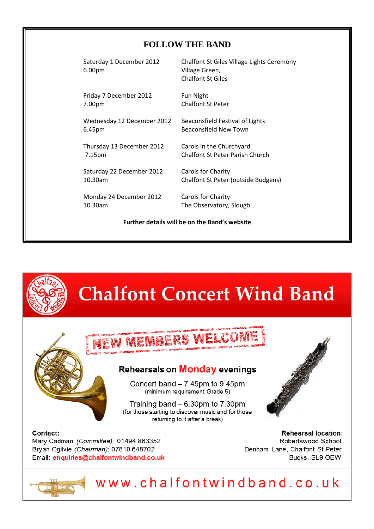#### **FOLLOW THE BAND**

6.00pm Village Green,

Friday 7 December 2012 Fun Night 7.00pm Chalfont St Peter

Wednesday 12 December 2012 Beaconsfield Festival of Lights 6.45pm Beaconsfield New Town

 $\begin{array}{ccc} \mathbf{r} & \mathbf{r} & \mathbf{r} \\ \mathbf{r} & \mathbf{r} & \mathbf{r} \end{array}$ Thursday 13 December 2012 Carols in the Churchyard

Saturday 22 December 2012 Carols for Charity

Monday 24 December 2012 Carols for Charity 10.30am The Observatory, Slough

Saturday 1 December 2012 Chalfont St Giles Village Lights Ceremony Chalfont St Giles

7.15pm Chalfont St Peter Parish Church

10.30am Chalfont St Peter (outside Budgens)

**Further details will be on the Band's website**

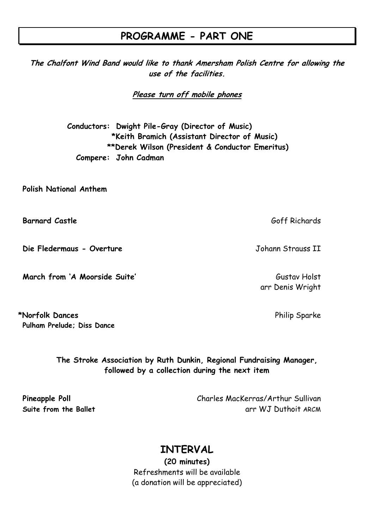## **PROGRAMME - PART ONE**

**The Chalfont Wind Band would like to thank Amersham Polish Centre for allowing the use of the facilities.**

**Please turn off mobile phones** 

**Conductors: Dwight Pile-Gray (Director of Music) \*Keith Bramich (Assistant Director of Music) \*\*Derek Wilson (President & Conductor Emeritus) Compere: John Cadman**

**Polish National Anthem**

**Barnard Castle** Goff Richards

**Die Fledermaus - Overture** Johann Strauss II

**March from 'A Moorside Suite'** Gustav Holst Gustav Holst

\*Norfolk Dances **Philip Sparke Pulham Prelude; Diss Dance**

> **The Stroke Association by Ruth Dunkin, Regional Fundraising Manager, followed by a collection during the next item**

**Pineapple Poll** Charles MacKerras/Arthur Sullivan **Suite from the Ballet arr WJ Duthoit ARCM** 

## **INTERVAL**

**(20 minutes)** Refreshments will be available (a donation will be appreciated)

arr Denis Wright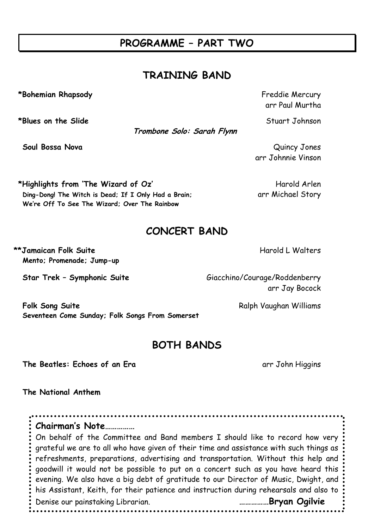## **PROGRAMME – PART TWO**

## **TRAINING BAND**

\*Bohemian Rhapsody **Figure 2018** Freddie Mercury

\*Blues on the Slide **Stuart Johnson** 

**Trombone Solo: Sarah Flynn**

arr Paul Murtha

**Soul Bossa Nova** Quincy Jones arr Johnnie Vinson

\*Highlights from 'The Wizard of Oz' Harold Arlen Ding-Dong! The Witch is Dead; If I Only Had a Brain; arr Michael Story

## **CONCERT BAND**

\*\*Jamaican Folk Suite **Harold L Walters** Harold L Walters **Mento; Promenade; Jump-up**

**Star Trek - Symphonic Suite** Giacchino/Courage/Roddenberry arr Jay Bocock

**Folk Song Suite** Ralph Vaughan Williams **Seventeen Come Sunday; Folk Songs From Somerset**

**We're Off To See The Wizard; Over The Rainbow**

## **BOTH BANDS**

**The Beatles: Echoes of an Era** arr John Higgins

**The National Anthem**

**Chairman's Note……………** On behalf of the Committee and Band members I should like to record how very grateful we are to all who have given of their time and assistance with such things as refreshments, preparations, advertising and transportation. Without this help and goodwill it would not be possible to put on a concert such as you have heard this evening. We also have a big debt of gratitude to our Director of Music, Dwight, and his Assistant, Keith, for their patience and instruction during rehearsals and also to Denise our painstaking Librarian. **……………Bryan Ogilvie**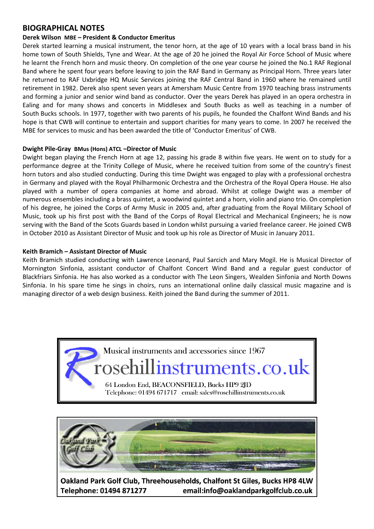#### **BIOGRAPHICAL NOTES**

#### **Derek Wilson MBE – President & Conductor Emeritus**

Derek started learning a musical instrument, the tenor horn, at the age of 10 years with a local brass band in his home town of South Shields, Tyne and Wear. At the age of 20 he joined the Royal Air Force School of Music where he learnt the French horn and music theory. On completion of the one year course he joined the No.1 RAF Regional Band where he spent four years before leaving to join the RAF Band in Germany as Principal Horn. Three years later he returned to RAF Uxbridge HQ Music Services joining the RAF Central Band in 1960 where he remained until retirement in 1982. Derek also spent seven years at Amersham Music Centre from 1970 teaching brass instruments and forming a junior and senior wind band as conductor. Over the years Derek has played in an opera orchestra in Ealing and for many shows and concerts in Middlesex and South Bucks as well as teaching in a number of South Bucks schools. In 1977, together with two parents of his pupils, he founded the Chalfont Wind Bands and his hope is that CWB will continue to entertain and support charities for many years to come. In 2007 he received the MBE for services to music and has been awarded the title of 'Conductor Emeritus' of CWB.

#### **Dwight Pile-Gray BMus (Hons) ATCL –Director of Music**

Dwight began playing the French Horn at age 12, passing his grade 8 within five years. He went on to study for a performance degree at the Trinity College of Music, where he received tuition from some of the country's finest horn tutors and also studied conducting. During this time Dwight was engaged to play with a professional orchestra in Germany and played with the Royal Philharmonic Orchestra and the Orchestra of the Royal Opera House. He also played with a number of opera companies at home and abroad. Whilst at college Dwight was a member of numerous ensembles including a brass quintet, a woodwind quintet and a horn, violin and piano trio. On completion of his degree, he joined the Corps of Army Music in 2005 and, after graduating from the Royal Military School of Music, took up his first post with the Band of the Corps of Royal Electrical and Mechanical Engineers; he is now serving with the Band of the Scots Guards based in London whilst pursuing a varied freelance career. He joined CWB in October 2010 as Assistant Director of Music and took up his role as Director of Music in January 2011.

#### **Keith Bramich – Assistant Director of Music**

Keith Bramich studied conducting with Lawrence Leonard, Paul Sarcich and Mary Mogil. He is Musical Director of Mornington Sinfonia, assistant conductor of Chalfont Concert Wind Band and a regular guest conductor of Blackfriars Sinfonia. He has also worked as a conductor with The Leon Singers, Wealden Sinfonia and North Downs Sinfonia. In his spare time he sings in choirs, runs an international online daily classical music magazine and is managing director of a web design business. Keith joined the Band during the summer of 2011.





Oakland Park Golf Club, Threehouseholds, Chalfont St Giles, Bucks HP8 4LW Telephone: 01494 871277 email:info@oaklandparkgolfclub.co.uk